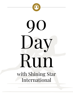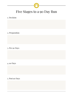

# Five Stages to a 90 Day Run

#### 1. Decision

2. Preparation

3. Pre 90 Days

4. 90 Days

5. Post 90 Days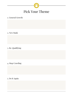

## 1. General Growth

2. New Rank

3. Re-Qualifying

4. Stop Crawling

5. Do It Again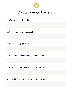

# Create Your 90 Day Story

1. Why are you doing this?

- 2. What results are you expecting?
- 3. How will people benefit?

- 4. What kind of people are you looking for?
- 5. What is your strategy to make this happen?
- 6. What kind of support are you going to offer?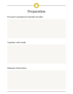

## Personal Commitment/Schedule/Sacrifice

Negotiate with Family

Eliminate Distractions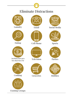# Eliminate Distractions





Anything that pays less than \$500/hr







Dating Cell Phone Sports



Television Parties









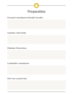

# Personal Commitment/Schedule/Sacrifice

Negotiate with Family

Eliminate Distractions

Unshakable Commitment

Pick Your Launch Date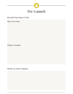

#### Recruit Your Inner Circle

Share Your Vision

Whisper Campaign

Warm Up Your Contacts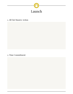

## 1. All Out Massive Action

# 2. Time Commitment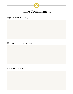

High (20+ hours a week)

Medium (15-20 hours a week)

Low (10 hours a week)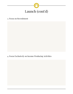

#### 3. Focus on Recruitment

4. Focus Exclusively on Income Producing Activities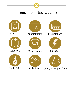











Follow Up Zoom Events Blitz Calls









Sizzle Calls Social Media 3-way messaging/calls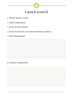

- 1. All Out Massive Action
- 2. Time Commitment
- 3. Focus on Recruitment
- 4. Focus Exclusively on Income Producing Actitivies
- 5. Time Management

6. Emotion Management